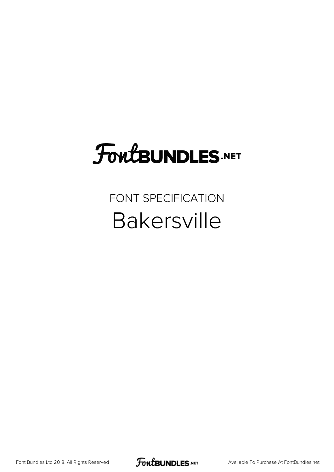## **FoutBUNDLES.NET**

### FONT SPECIFICATION Bakersville

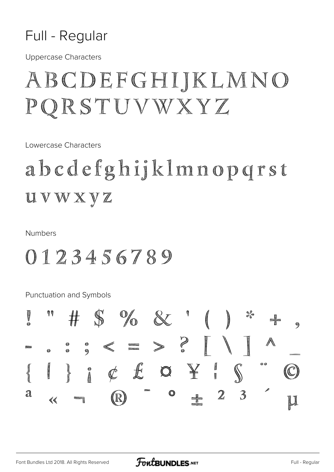### Full - Regular

**Uppercase Characters** 

### ABCDEFGHIJKLMNO PQRSTUVWXYZ

Lowercase Characters

### abcdefghijklmnopqrst UVWXYZ

**Numbers** 

### 0123456789

**Punctuation and Symbols** 

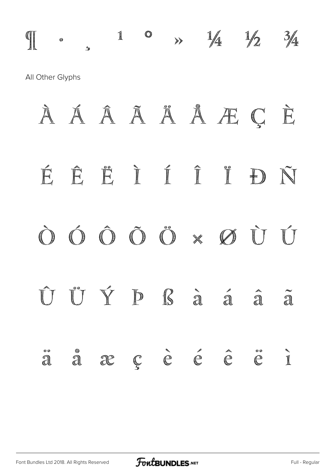$\int_1^{\circ}$  , 1 0 >>  $\frac{1}{4}$   $\frac{1}{2}$   $\frac{3}{4}$ All Other Glyphs

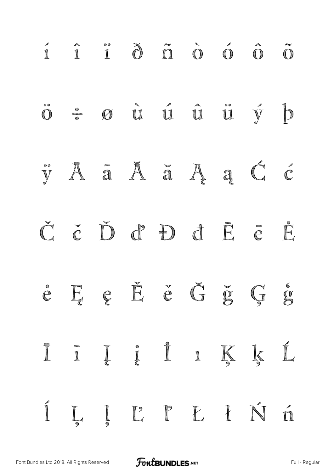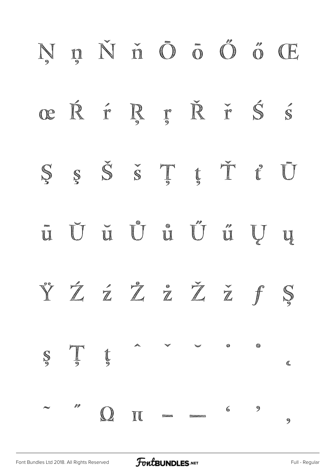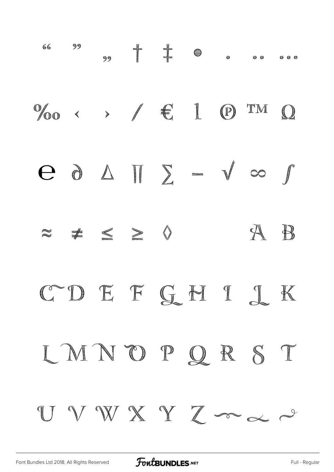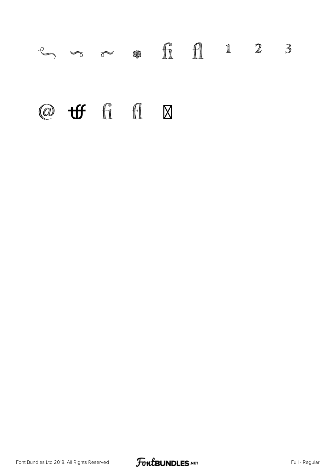## $\mathbb{C}$   $\sim$   $\mathbb{R}$  fi fi 1 2 3 @  $\mathbf{tf}$  fi fl  $\boxtimes$

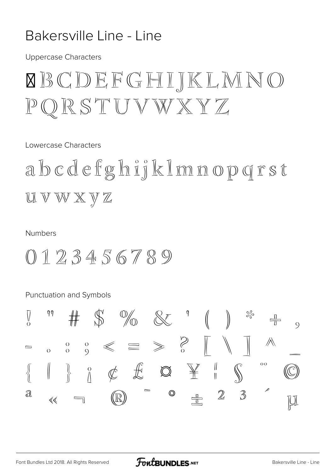### Bakersville Line - Line

**Uppercase Characters** 

### **XBCDEFGHIKLMNO**  $\mathbb{P} \mathbb{Q} \mathbb{R} \mathbb{S} \mathbb{T} \mathbb{U} \mathbb{V} \mathbb{W} \mathbb{X} \mathbb{Y} \mathbb{Z}$

Lowercase Characters

abcdefghijkImnopgrst UVWXYZ

#### **Numbers**

 $0123456789$ 

**Punctuation and Symbols** 

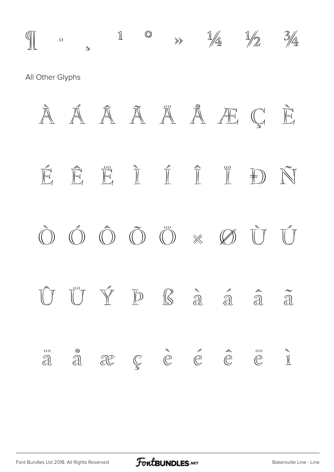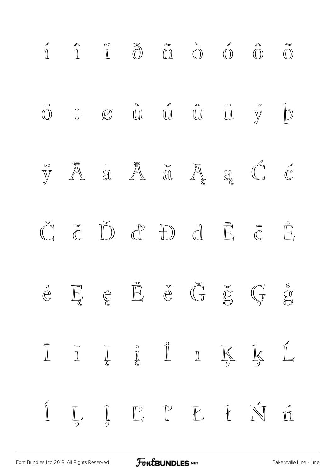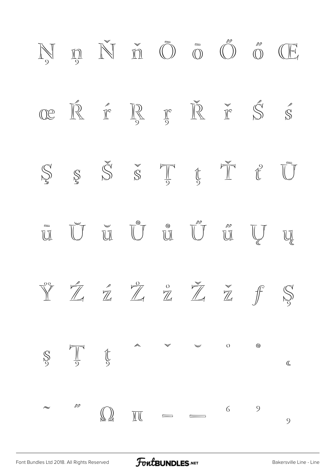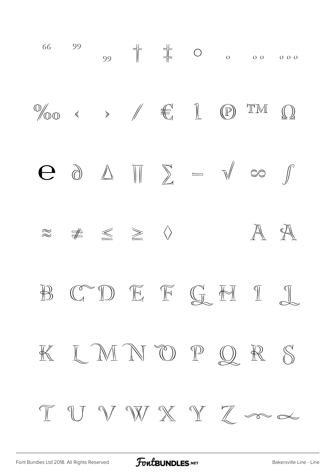